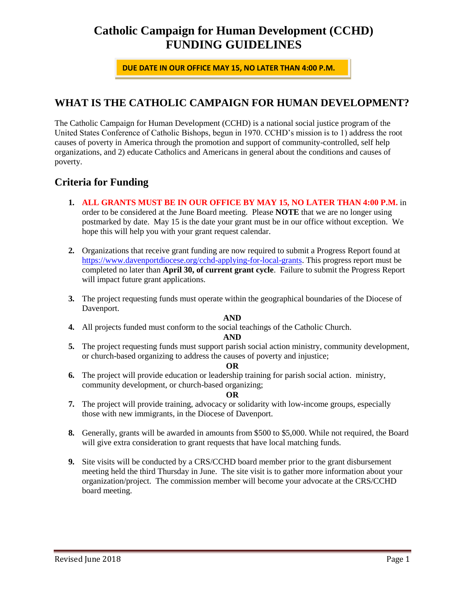# **Catholic Campaign for Human Development (CCHD) FUNDING GUIDELINES**

**DUE DATE IN OUR OFFICE MAY 15, NO LATER THAN 4:00 P.M.**

## **WHAT IS THE CATHOLIC CAMPAIGN FOR HUMAN DEVELOPMENT?**

The Catholic Campaign for Human Development (CCHD) is a national social justice program of the United States Conference of Catholic Bishops, begun in 1970. CCHD's mission is to 1) address the root causes of poverty in America through the promotion and support of community-controlled, self help organizations, and 2) educate Catholics and Americans in general about the conditions and causes of poverty.

### **Criteria for Funding**

**1. ALL GRANTS MUST BE IN OUR OFFICE BY MAY 15, NO LATER THAN 4:00 P.M.** in

order to be considered at the June Board meeting. Please **NOTE** that we are no longer using postmarked by date. May 15 is the date your grant must be in our office without exception. We hope this will help you with your grant request calendar.

- **2.** Organizations that receive grant funding are now required to submit a Progress Report found at [https://www.davenportdiocese.org/cchd-applying-for-local-grants.](https://www.davenportdiocese.org/cchd-applying-for-local-grants) This progress report must be completed no later than **April 30, of current grant cycle**. Failure to submit the Progress Report will impact future grant applications.
- **3.** The project requesting funds must operate within the geographical boundaries of the Diocese of Davenport.

### **AND**

**4.** All projects funded must conform to the social teachings of the Catholic Church.

### **AND**

**5.** The project requesting funds must support parish social action ministry, community development, or church-based organizing to address the causes of poverty and injustice;

### **OR**

**6.** The project will provide education or leadership training for parish social action. ministry, community development, or church-based organizing;

### **OR**

- **7.** The project will provide training, advocacy or solidarity with low-income groups, especially those with new immigrants, in the Diocese of Davenport.
- **8.** Generally, grants will be awarded in amounts from \$500 to \$5,000. While not required, the Board will give extra consideration to grant requests that have local matching funds.
- **9.** Site visits will be conducted by a CRS/CCHD board member prior to the grant disbursement meeting held the third Thursday in June. The site visit is to gather more information about your organization/project. The commission member will become your advocate at the CRS/CCHD board meeting.